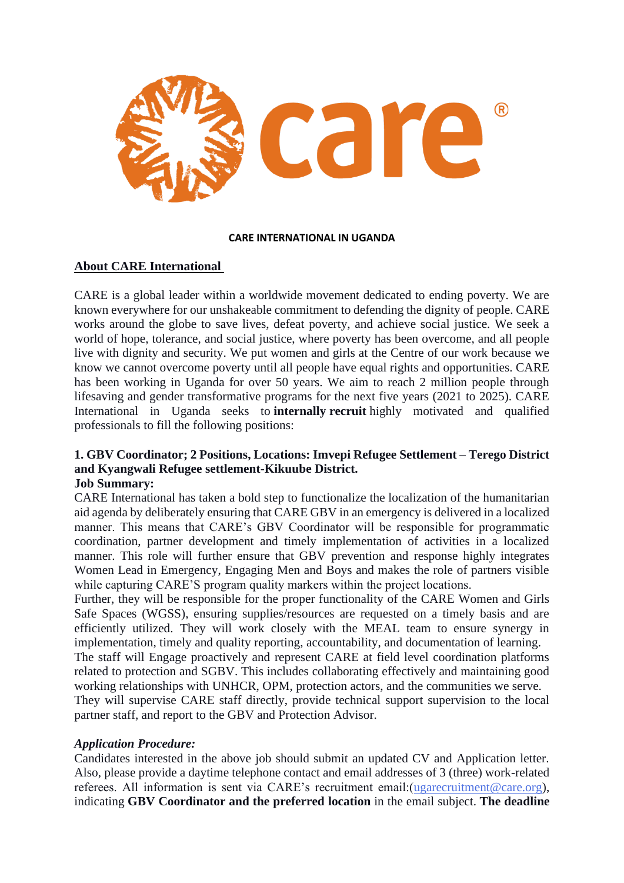

### **CARE INTERNATIONAL IN UGANDA**

# **About CARE International**

CARE is a global leader within a worldwide movement dedicated to ending poverty. We are known everywhere for our unshakeable commitment to defending the dignity of people. CARE works around the globe to save lives, defeat poverty, and achieve social justice. We seek a world of hope, tolerance, and social justice, where poverty has been overcome, and all people live with dignity and security. We put women and girls at the Centre of our work because we know we cannot overcome poverty until all people have equal rights and opportunities. CARE has been working in Uganda for over 50 years. We aim to reach 2 million people through lifesaving and gender transformative programs for the next five years (2021 to 2025). CARE International in Uganda seeks to **internally recruit** highly motivated and qualified professionals to fill the following positions:

### **1. GBV Coordinator; 2 Positions, Locations: Imvepi Refugee Settlement – Terego District and Kyangwali Refugee settlement-Kikuube District. Job Summary:**

CARE International has taken a bold step to functionalize the localization of the humanitarian aid agenda by deliberately ensuring that CARE GBV in an emergency is delivered in a localized manner. This means that CARE's GBV Coordinator will be responsible for programmatic coordination, partner development and timely implementation of activities in a localized manner. This role will further ensure that GBV prevention and response highly integrates Women Lead in Emergency, Engaging Men and Boys and makes the role of partners visible while capturing CARE'S program quality markers within the project locations.

Further, they will be responsible for the proper functionality of the CARE Women and Girls Safe Spaces (WGSS), ensuring supplies/resources are requested on a timely basis and are efficiently utilized. They will work closely with the MEAL team to ensure synergy in implementation, timely and quality reporting, accountability, and documentation of learning.

The staff will Engage proactively and represent CARE at field level coordination platforms related to protection and SGBV. This includes collaborating effectively and maintaining good working relationships with UNHCR, OPM, protection actors, and the communities we serve.

They will supervise CARE staff directly, provide technical support supervision to the local partner staff, and report to the GBV and Protection Advisor.

# *Application Procedure:*

Candidates interested in the above job should submit an updated CV and Application letter. Also, please provide a daytime telephone contact and email addresses of 3 (three) work-related referees. All information is sent via CARE's recruitment email:[\(ugarecruitment@care.org\)](mailto:ugarecruitment@care.org), indicating **GBV Coordinator and the preferred location** in the email subject. **The deadline**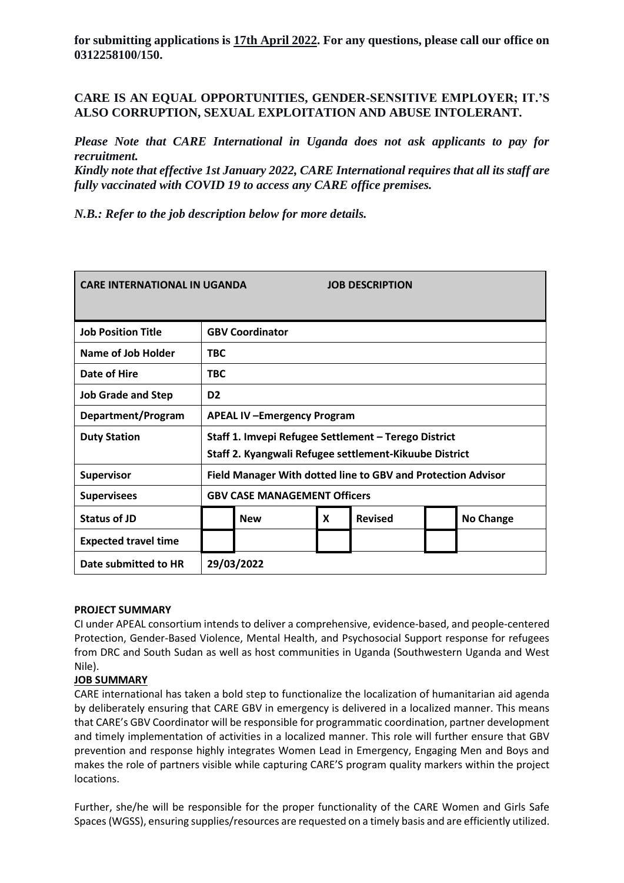**for submitting applications is 17th April 2022. For any questions, please call our office on 0312258100/150.**

# **CARE IS AN EQUAL OPPORTUNITIES, GENDER-SENSITIVE EMPLOYER; IT.'S ALSO CORRUPTION, SEXUAL EXPLOITATION AND ABUSE INTOLERANT.**

*Please Note that CARE International in Uganda does not ask applicants to pay for recruitment.*

*Kindly note that effective 1st January 2022, CARE International requires that all its staff are fully vaccinated with COVID 19 to access any CARE office premises.*

*N.B.: Refer to the job description below for more details.*

| <b>CARE INTERNATIONAL IN UGANDA</b><br><b>JOB DESCRIPTION</b> |                                                                                                                |            |   |                |  |                  |
|---------------------------------------------------------------|----------------------------------------------------------------------------------------------------------------|------------|---|----------------|--|------------------|
| <b>Job Position Title</b>                                     | <b>GBV Coordinator</b>                                                                                         |            |   |                |  |                  |
| Name of Job Holder                                            | <b>TBC</b>                                                                                                     |            |   |                |  |                  |
| <b>Date of Hire</b>                                           | <b>TBC</b>                                                                                                     |            |   |                |  |                  |
| <b>Job Grade and Step</b>                                     | D <sub>2</sub>                                                                                                 |            |   |                |  |                  |
| Department/Program                                            | <b>APEAL IV-Emergency Program</b>                                                                              |            |   |                |  |                  |
| <b>Duty Station</b>                                           | Staff 1. Imvepi Refugee Settlement - Terego District<br>Staff 2. Kyangwali Refugee settlement-Kikuube District |            |   |                |  |                  |
| Supervisor                                                    | Field Manager With dotted line to GBV and Protection Advisor                                                   |            |   |                |  |                  |
| <b>Supervisees</b>                                            | <b>GBV CASE MANAGEMENT Officers</b>                                                                            |            |   |                |  |                  |
| <b>Status of JD</b>                                           |                                                                                                                | <b>New</b> | X | <b>Revised</b> |  | <b>No Change</b> |
| <b>Expected travel time</b>                                   |                                                                                                                |            |   |                |  |                  |
| Date submitted to HR                                          | 29/03/2022                                                                                                     |            |   |                |  |                  |

### **PROJECT SUMMARY**

CI under APEAL consortium intends to deliver a comprehensive, evidence-based, and people-centered Protection, Gender-Based Violence, Mental Health, and Psychosocial Support response for refugees from DRC and South Sudan as well as host communities in Uganda (Southwestern Uganda and West Nile).

### **JOB SUMMARY**

CARE international has taken a bold step to functionalize the localization of humanitarian aid agenda by deliberately ensuring that CARE GBV in emergency is delivered in a localized manner. This means that CARE's GBV Coordinator will be responsible for programmatic coordination, partner development and timely implementation of activities in a localized manner. This role will further ensure that GBV prevention and response highly integrates Women Lead in Emergency, Engaging Men and Boys and makes the role of partners visible while capturing CARE'S program quality markers within the project locations.

Further, she/he will be responsible for the proper functionality of the CARE Women and Girls Safe Spaces (WGSS), ensuring supplies/resources are requested on a timely basis and are efficiently utilized.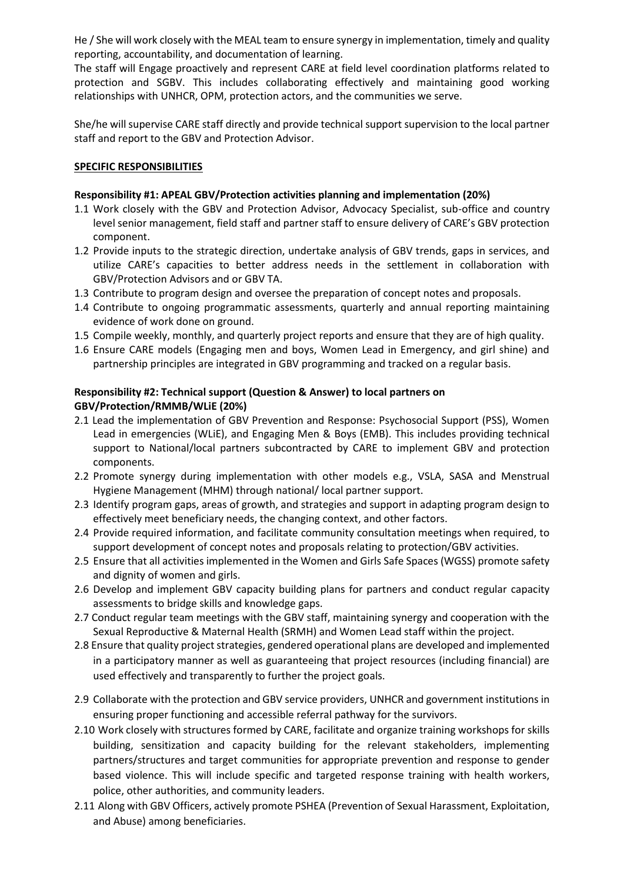He / She will work closely with the MEAL team to ensure synergy in implementation, timely and quality reporting, accountability, and documentation of learning.

The staff will Engage proactively and represent CARE at field level coordination platforms related to protection and SGBV. This includes collaborating effectively and maintaining good working relationships with UNHCR, OPM, protection actors, and the communities we serve.

She/he will supervise CARE staff directly and provide technical support supervision to the local partner staff and report to the GBV and Protection Advisor.

#### **SPECIFIC RESPONSIBILITIES**

### **Responsibility #1: APEAL GBV/Protection activities planning and implementation (20%)**

- 1.1 Work closely with the GBV and Protection Advisor, Advocacy Specialist, sub-office and country level senior management, field staff and partner staff to ensure delivery of CARE's GBV protection component.
- 1.2 Provide inputs to the strategic direction, undertake analysis of GBV trends, gaps in services, and utilize CARE's capacities to better address needs in the settlement in collaboration with GBV/Protection Advisors and or GBV TA.
- 1.3 Contribute to program design and oversee the preparation of concept notes and proposals.
- 1.4 Contribute to ongoing programmatic assessments, quarterly and annual reporting maintaining evidence of work done on ground.
- 1.5 Compile weekly, monthly, and quarterly project reports and ensure that they are of high quality.
- 1.6 Ensure CARE models (Engaging men and boys, Women Lead in Emergency, and girl shine) and partnership principles are integrated in GBV programming and tracked on a regular basis.

### **Responsibility #2: Technical support (Question & Answer) to local partners on GBV/Protection/RMMB/WLiE (20%)**

- 2.1 Lead the implementation of GBV Prevention and Response: Psychosocial Support (PSS), Women Lead in emergencies (WLiE), and Engaging Men & Boys (EMB). This includes providing technical support to National/local partners subcontracted by CARE to implement GBV and protection components.
- 2.2 Promote synergy during implementation with other models e.g., VSLA, SASA and Menstrual Hygiene Management (MHM) through national/ local partner support.
- 2.3 Identify program gaps, areas of growth, and strategies and support in adapting program design to effectively meet beneficiary needs, the changing context, and other factors.
- 2.4 Provide required information, and facilitate community consultation meetings when required, to support development of concept notes and proposals relating to protection/GBV activities.
- 2.5 Ensure that all activities implemented in the Women and Girls Safe Spaces (WGSS) promote safety and dignity of women and girls.
- 2.6 Develop and implement GBV capacity building plans for partners and conduct regular capacity assessments to bridge skills and knowledge gaps.
- 2.7 Conduct regular team meetings with the GBV staff, maintaining synergy and cooperation with the Sexual Reproductive & Maternal Health (SRMH) and Women Lead staff within the project.
- 2.8 Ensure that quality project strategies, gendered operational plans are developed and implemented in a participatory manner as well as guaranteeing that project resources (including financial) are used effectively and transparently to further the project goals.
- 2.9 Collaborate with the protection and GBV service providers, UNHCR and government institutions in ensuring proper functioning and accessible referral pathway for the survivors.
- 2.10 Work closely with structures formed by CARE, facilitate and organize training workshops for skills building, sensitization and capacity building for the relevant stakeholders, implementing partners/structures and target communities for appropriate prevention and response to gender based violence. This will include specific and targeted response training with health workers, police, other authorities, and community leaders.
- 2.11 Along with GBV Officers, actively promote PSHEA (Prevention of Sexual Harassment, Exploitation, and Abuse) among beneficiaries.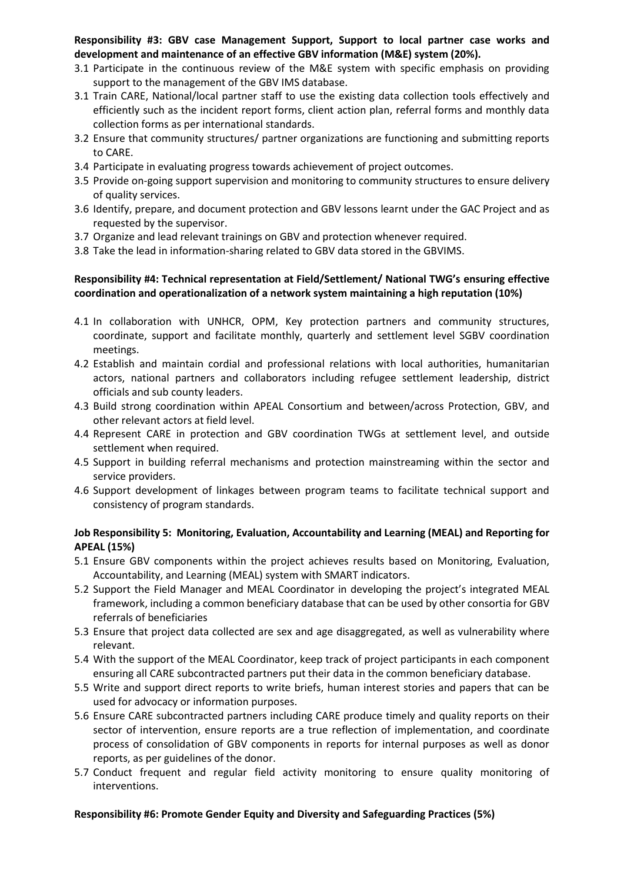### **Responsibility #3: GBV case Management Support, Support to local partner case works and development and maintenance of an effective GBV information (M&E) system (20%).**

- 3.1 Participate in the continuous review of the M&E system with specific emphasis on providing support to the management of the GBV IMS database.
- 3.1 Train CARE, National/local partner staff to use the existing data collection tools effectively and efficiently such as the incident report forms, client action plan, referral forms and monthly data collection forms as per international standards.
- 3.2 Ensure that community structures/ partner organizations are functioning and submitting reports to CARE.
- 3.4 Participate in evaluating progress towards achievement of project outcomes.
- 3.5 Provide on-going support supervision and monitoring to community structures to ensure delivery of quality services.
- 3.6 Identify, prepare, and document protection and GBV lessons learnt under the GAC Project and as requested by the supervisor.
- 3.7 Organize and lead relevant trainings on GBV and protection whenever required.
- 3.8 Take the lead in information-sharing related to GBV data stored in the GBVIMS.

### **Responsibility #4: Technical representation at Field/Settlement/ National TWG's ensuring effective coordination and operationalization of a network system maintaining a high reputation (10%)**

- 4.1 In collaboration with UNHCR, OPM, Key protection partners and community structures, coordinate, support and facilitate monthly, quarterly and settlement level SGBV coordination meetings.
- 4.2 Establish and maintain cordial and professional relations with local authorities, humanitarian actors, national partners and collaborators including refugee settlement leadership, district officials and sub county leaders.
- 4.3 Build strong coordination within APEAL Consortium and between/across Protection, GBV, and other relevant actors at field level.
- 4.4 Represent CARE in protection and GBV coordination TWGs at settlement level, and outside settlement when required.
- 4.5 Support in building referral mechanisms and protection mainstreaming within the sector and service providers.
- 4.6 Support development of linkages between program teams to facilitate technical support and consistency of program standards.

# **Job Responsibility 5: Monitoring, Evaluation, Accountability and Learning (MEAL) and Reporting for APEAL (15%)**

- 5.1 Ensure GBV components within the project achieves results based on Monitoring, Evaluation, Accountability, and Learning (MEAL) system with SMART indicators.
- 5.2 Support the Field Manager and MEAL Coordinator in developing the project's integrated MEAL framework, including a common beneficiary database that can be used by other consortia for GBV referrals of beneficiaries
- 5.3 Ensure that project data collected are sex and age disaggregated, as well as vulnerability where relevant.
- 5.4 With the support of the MEAL Coordinator, keep track of project participants in each component ensuring all CARE subcontracted partners put their data in the common beneficiary database.
- 5.5 Write and support direct reports to write briefs, human interest stories and papers that can be used for advocacy or information purposes.
- 5.6 Ensure CARE subcontracted partners including CARE produce timely and quality reports on their sector of intervention, ensure reports are a true reflection of implementation, and coordinate process of consolidation of GBV components in reports for internal purposes as well as donor reports, as per guidelines of the donor.
- 5.7 Conduct frequent and regular field activity monitoring to ensure quality monitoring of interventions.

### **Responsibility #6: Promote Gender Equity and Diversity and Safeguarding Practices (5%)**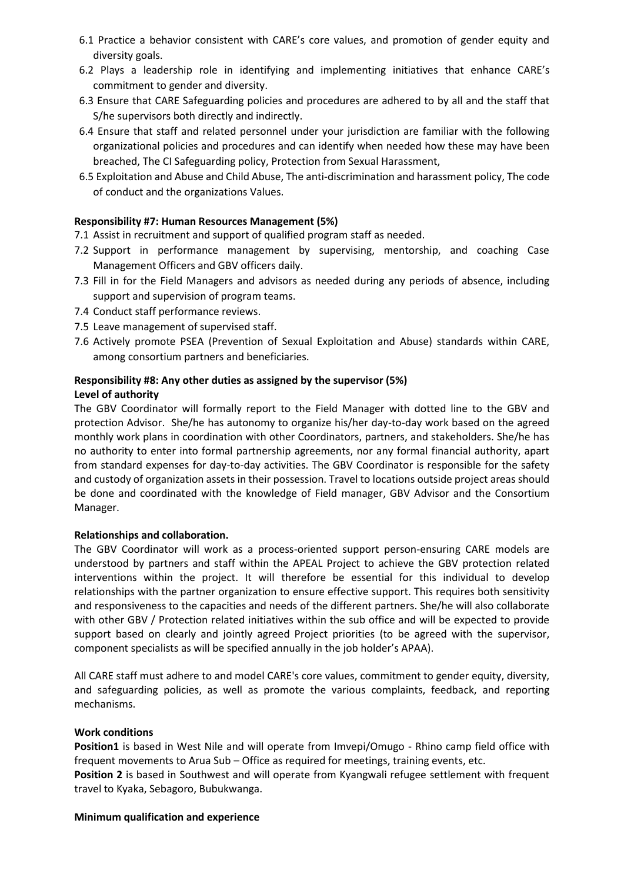- 6.1 Practice a behavior consistent with CARE's core values, and promotion of gender equity and diversity goals.
- 6.2 Plays a leadership role in identifying and implementing initiatives that enhance CARE's commitment to gender and diversity.
- 6.3 Ensure that CARE Safeguarding policies and procedures are adhered to by all and the staff that S/he supervisors both directly and indirectly.
- 6.4 Ensure that staff and related personnel under your jurisdiction are familiar with the following organizational policies and procedures and can identify when needed how these may have been breached, The CI Safeguarding policy, Protection from Sexual Harassment,
- 6.5 Exploitation and Abuse and Child Abuse, The anti-discrimination and harassment policy, The code of conduct and the organizations Values.

### **Responsibility #7: Human Resources Management (5%)**

- 7.1 Assist in recruitment and support of qualified program staff as needed.
- 7.2 Support in performance management by supervising, mentorship, and coaching Case Management Officers and GBV officers daily.
- 7.3 Fill in for the Field Managers and advisors as needed during any periods of absence, including support and supervision of program teams.
- 7.4 Conduct staff performance reviews.
- 7.5 Leave management of supervised staff.
- 7.6 Actively promote PSEA (Prevention of Sexual Exploitation and Abuse) standards within CARE, among consortium partners and beneficiaries.

# **Responsibility #8: Any other duties as assigned by the supervisor (5%) Level of authority**

The GBV Coordinator will formally report to the Field Manager with dotted line to the GBV and protection Advisor. She/he has autonomy to organize his/her day-to-day work based on the agreed monthly work plans in coordination with other Coordinators, partners, and stakeholders. She/he has no authority to enter into formal partnership agreements, nor any formal financial authority, apart from standard expenses for day-to-day activities. The GBV Coordinator is responsible for the safety and custody of organization assets in their possession. Travel to locations outside project areas should be done and coordinated with the knowledge of Field manager, GBV Advisor and the Consortium Manager.

### **Relationships and collaboration.**

The GBV Coordinator will work as a process-oriented support person-ensuring CARE models are understood by partners and staff within the APEAL Project to achieve the GBV protection related interventions within the project. It will therefore be essential for this individual to develop relationships with the partner organization to ensure effective support. This requires both sensitivity and responsiveness to the capacities and needs of the different partners. She/he will also collaborate with other GBV / Protection related initiatives within the sub office and will be expected to provide support based on clearly and jointly agreed Project priorities (to be agreed with the supervisor, component specialists as will be specified annually in the job holder's APAA).

All CARE staff must adhere to and model CARE's core values, commitment to gender equity, diversity, and safeguarding policies, as well as promote the various complaints, feedback, and reporting mechanisms.

### **Work conditions**

**Position1** is based in West Nile and will operate from Imvepi/Omugo - Rhino camp field office with frequent movements to Arua Sub – Office as required for meetings, training events, etc.

**Position 2** is based in Southwest and will operate from Kyangwali refugee settlement with frequent travel to Kyaka, Sebagoro, Bubukwanga.

### **Minimum qualification and experience**